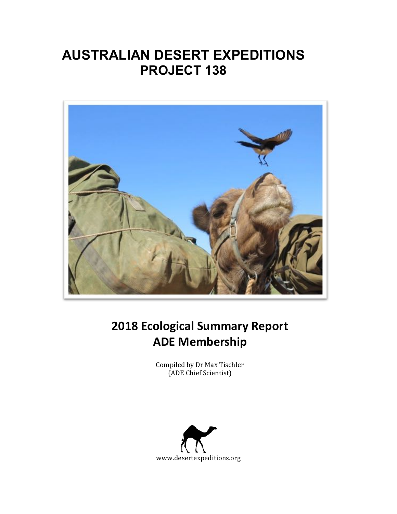# **AUSTRALIAN DESERT EXPEDITIONS PROJECT 138**



# **2018 Ecological Summary Report ADE Membership**

Compiled by Dr Max Tischler (ADE Chief Scientist)

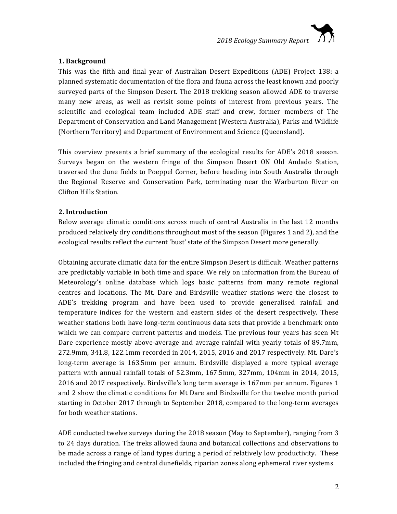# **1. Background**

This was the fifth and final year of Australian Desert Expeditions (ADE) Project 138: a planned systematic documentation of the flora and fauna across the least known and poorly surveyed parts of the Simpson Desert. The 2018 trekking season allowed ADE to traverse many new areas, as well as revisit some points of interest from previous years. The scientific and ecological team included ADE staff and crew, former members of The Department of Conservation and Land Management (Western Australia), Parks and Wildlife (Northern Territory) and Department of Environment and Science (Queensland).

This overview presents a brief summary of the ecological results for ADE's 2018 season. Surveys began on the western fringe of the Simpson Desert ON Old Andado Station, traversed the dune fields to Poeppel Corner, before heading into South Australia through the Regional Reserve and Conservation Park, terminating near the Warburton River on Clifton Hills Station.

# **2. Introduction**

Below average climatic conditions across much of central Australia in the last 12 months produced relatively dry conditions throughout most of the season (Figures 1 and 2), and the ecological results reflect the current 'bust' state of the Simpson Desert more generally.

Obtaining accurate climatic data for the entire Simpson Desert is difficult. Weather patterns are predictably variable in both time and space. We rely on information from the Bureau of Meteorology's online database which logs basic patterns from many remote regional centres and locations. The Mt. Dare and Birdsville weather stations were the closest to ADE's trekking program and have been used to provide generalised rainfall and temperature indices for the western and eastern sides of the desert respectively. These weather stations both have long-term continuous data sets that provide a benchmark onto which we can compare current patterns and models. The previous four years has seen Mt Dare experience mostly above-average and average rainfall with yearly totals of 89.7mm, 272.9mm, 341.8, 122.1mm recorded in 2014, 2015, 2016 and 2017 respectively. Mt. Dare's long-term average is 163.5mm per annum. Birdsville displayed a more typical average pattern with annual rainfall totals of 52.3mm, 167.5mm, 327mm, 104mm in 2014, 2015, 2016 and 2017 respectively. Birdsville's long term average is 167mm per annum. Figures 1 and 2 show the climatic conditions for Mt Dare and Birdsville for the twelve month period starting in October 2017 through to September 2018, compared to the long-term averages for both weather stations.

ADE conducted twelve surveys during the  $2018$  season (May to September), ranging from 3 to 24 days duration. The treks allowed fauna and botanical collections and observations to be made across a range of land types during a period of relatively low productivity. These included the fringing and central dunefields, riparian zones along ephemeral river systems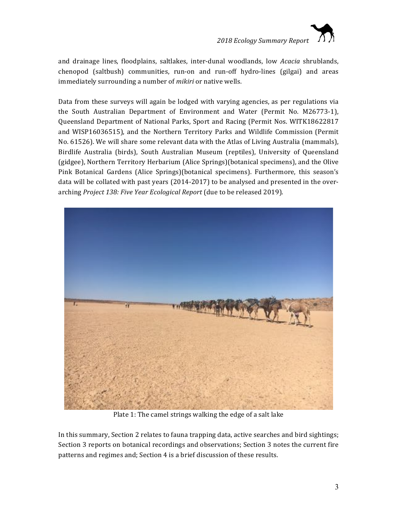

and drainage lines, floodplains, saltlakes, inter-dunal woodlands, low *Acacia* shrublands, chenopod (saltbush) communities, run-on and run-off hydro-lines (gilgai) and areas immediately surrounding a number of *mikiri* or native wells.

Data from these surveys will again be lodged with varying agencies, as per regulations via the South Australian Department of Environment and Water (Permit No. M26773-1), Queensland Department of National Parks, Sport and Racing (Permit Nos. WITK18622817 and WISP16036515), and the Northern Territory Parks and Wildlife Commission (Permit No. 61526). We will share some relevant data with the Atlas of Living Australia (mammals), Birdlife Australia (birds), South Australian Museum (reptiles), University of Queensland (gidgee), Northern Territory Herbarium (Alice Springs)(botanical specimens), and the Olive Pink Botanical Gardens (Alice Springs)(botanical specimens). Furthermore, this season's data will be collated with past years (2014-2017) to be analysed and presented in the overarching *Project 138: Five Year Ecological Report* (due to be released 2019).



Plate 1: The camel strings walking the edge of a salt lake

In this summary, Section 2 relates to fauna trapping data, active searches and bird sightings; Section 3 reports on botanical recordings and observations; Section 3 notes the current fire patterns and regimes and; Section 4 is a brief discussion of these results.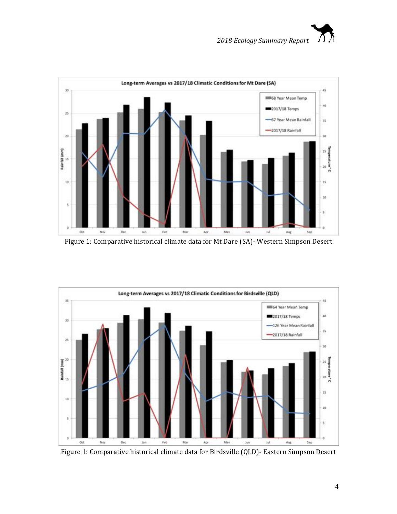



Figure 1: Comparative historical climate data for Mt Dare (SA)- Western Simpson Desert



Figure 1: Comparative historical climate data for Birdsville (QLD)- Eastern Simpson Desert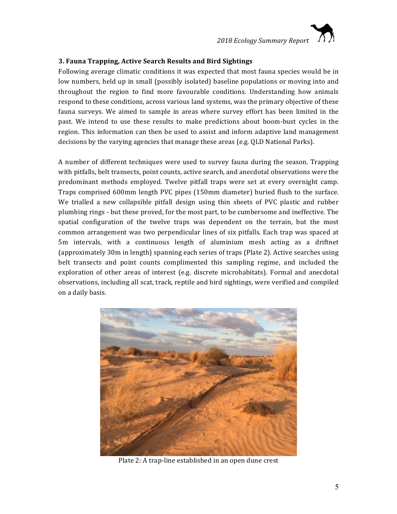

# **3. Fauna Trapping, Active Search Results and Bird Sightings**

Following average climatic conditions it was expected that most fauna species would be in low numbers, held up in small (possibly isolated) baseline populations or moving into and throughout the region to find more favourable conditions. Understanding how animals respond to these conditions, across various land systems, was the primary objective of these fauna surveys. We aimed to sample in areas where survey effort has been limited in the past. We intend to use these results to make predictions about boom-bust cycles in the region. This information can then be used to assist and inform adaptive land management decisions by the varying agencies that manage these areas (e.g. QLD National Parks).

A number of different techniques were used to survey fauna during the season. Trapping with pitfalls, belt transects, point counts, active search, and anecdotal observations were the predominant methods employed. Twelve pitfall traps were set at every overnight camp. Traps comprised 600mm length PVC pipes (150mm diameter) buried flush to the surface. We trialled a new collapsible pitfall design using thin sheets of PVC plastic and rubber plumbing rings - but these proved, for the most part, to be cumbersome and ineffective. The spatial configuration of the twelve traps was dependent on the terrain, but the most common arrangement was two perpendicular lines of six pitfalls. Each trap was spaced at 5m intervals, with a continuous length of aluminium mesh acting as a driftnet (approximately 30m in length) spanning each series of traps (Plate 2). Active searches using belt transects and point counts complimented this sampling regime, and included the exploration of other areas of interest (e.g. discrete microhabitats). Formal and anecdotal observations, including all scat, track, reptile and bird sightings, were verified and compiled on a daily basis.



Plate 2: A trap-line established in an open dune crest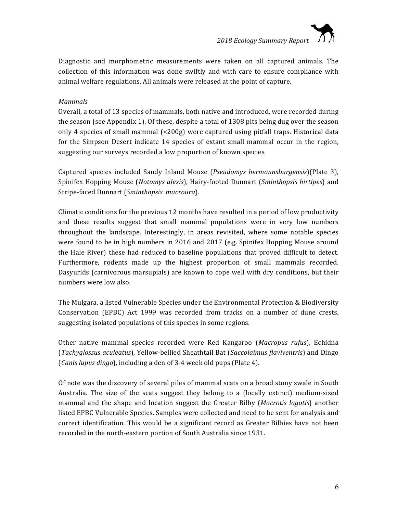Diagnostic and morphometric measurements were taken on all captured animals. The collection of this information was done swiftly and with care to ensure compliance with animal welfare regulations. All animals were released at the point of capture.

# *Mammals*

Overall, a total of 13 species of mammals, both native and introduced, were recorded during the season (see Appendix 1). Of these, despite a total of  $1308$  pits being dug over the season only 4 species of small mammal  $\left($  <200g) were captured using pitfall traps. Historical data for the Simpson Desert indicate 14 species of extant small mammal occur in the region, suggesting our surveys recorded a low proportion of known species.

Captured species included Sandy Inland Mouse (*Pseudomys hermannsburgensis*)(Plate 3), Spinifex Hopping Mouse (*Notomys alexis*), Hairy-footed Dunnart (*Sminthopsis hirtipes*) and Stripe-faced Dunnart (*Sminthopsis macroura*).

Climatic conditions for the previous 12 months have resulted in a period of low productivity and these results suggest that small mammal populations were in very low numbers throughout the landscape. Interestingly, in areas revisited, where some notable species were found to be in high numbers in 2016 and 2017 (e.g. Spinifex Hopping Mouse around the Hale River) these had reduced to baseline populations that proved difficult to detect. Furthermore, rodents made up the highest proportion of small mammals recorded. Dasyurids (carnivorous marsupials) are known to cope well with dry conditions, but their numbers were low also.

The Mulgara, a listed Vulnerable Species under the Environmental Protection & Biodiversity Conservation (EPBC) Act 1999 was recorded from tracks on a number of dune crests, suggesting isolated populations of this species in some regions.

Other native mammal species recorded were Red Kangaroo (*Macropus rufus*), Echidna (*Tachyglossus aculeatus*), Yellow-bellied Sheathtail Bat (*Saccolaimus flaviventris*) and Dingo (*Canis lupus dingo*), including a den of 3-4 week old pups (Plate 4).

Of note was the discovery of several piles of mammal scats on a broad stony swale in South Australia. The size of the scats suggest they belong to a (locally extinct) medium-sized mammal and the shape and location suggest the Greater Bilby (Macrotis lagotis) another listed EPBC Vulnerable Species. Samples were collected and need to be sent for analysis and correct identification. This would be a significant record as Greater Bilbies have not been recorded in the north-eastern portion of South Australia since 1931.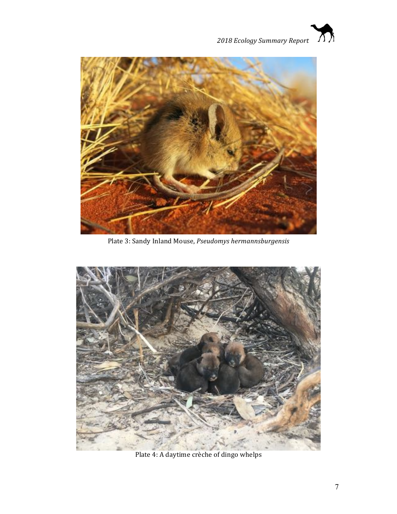



Plate 3: Sandy Inland Mouse, *Pseudomys hermannsburgensis* 



Plate 4: A daytime crèche of dingo whelps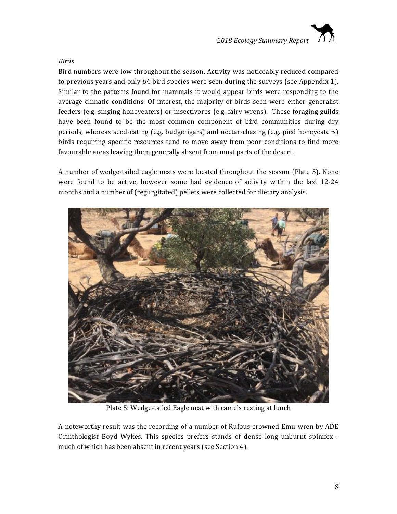

#### *Birds*

Bird numbers were low throughout the season. Activity was noticeably reduced compared to previous years and only 64 bird species were seen during the surveys (see Appendix 1). Similar to the patterns found for mammals it would appear birds were responding to the average climatic conditions. Of interest, the majority of birds seen were either generalist feeders (e.g. singing honeyeaters) or insectivores (e.g. fairy wrens). These foraging guilds have been found to be the most common component of bird communities during dry periods, whereas seed-eating (e.g. budgerigars) and nectar-chasing (e.g. pied honeyeaters) birds requiring specific resources tend to move away from poor conditions to find more favourable areas leaving them generally absent from most parts of the desert.

A number of wedge-tailed eagle nests were located throughout the season (Plate 5). None were found to be active, however some had evidence of activity within the last 12-24 months and a number of (regurgitated) pellets were collected for dietary analysis.



Plate 5: Wedge-tailed Eagle nest with camels resting at lunch

A noteworthy result was the recording of a number of Rufous-crowned Emu-wren by ADE Ornithologist Boyd Wykes. This species prefers stands of dense long unburnt spinifex much of which has been absent in recent years (see Section 4).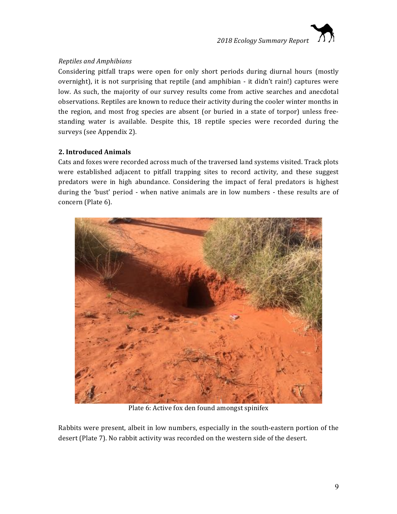

# *Reptiles and Amphibians*

Considering pitfall traps were open for only short periods during diurnal hours (mostly overnight), it is not surprising that reptile (and amphibian - it didn't rain!) captures were low. As such, the majority of our survey results come from active searches and anecdotal observations. Reptiles are known to reduce their activity during the cooler winter months in the region, and most frog species are absent (or buried in a state of torpor) unless freestanding water is available. Despite this, 18 reptile species were recorded during the surveys (see Appendix 2).

# **2. Introduced Animals**

Cats and foxes were recorded across much of the traversed land systems visited. Track plots were established adjacent to pitfall trapping sites to record activity, and these suggest predators were in high abundance. Considering the impact of feral predators is highest during the 'bust' period - when native animals are in low numbers - these results are of concern (Plate 6).



Plate 6: Active fox den found amongst spinifex

Rabbits were present, albeit in low numbers, especially in the south-eastern portion of the desert (Plate 7). No rabbit activity was recorded on the western side of the desert.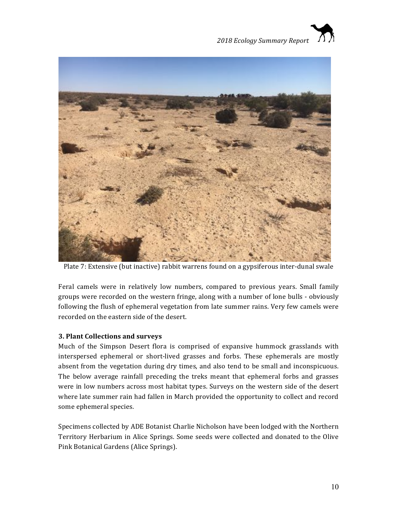



Plate 7: Extensive (but inactive) rabbit warrens found on a gypsiferous inter-dunal swale

Feral camels were in relatively low numbers, compared to previous years. Small family groups were recorded on the western fringe, along with a number of lone bulls - obviously following the flush of ephemeral vegetation from late summer rains. Very few camels were recorded on the eastern side of the desert.

# **3. Plant Collections and surveys**

Much of the Simpson Desert flora is comprised of expansive hummock grasslands with interspersed ephemeral or short-lived grasses and forbs. These ephemerals are mostly absent from the vegetation during dry times, and also tend to be small and inconspicuous. The below average rainfall preceding the treks meant that ephemeral forbs and grasses were in low numbers across most habitat types. Surveys on the western side of the desert where late summer rain had fallen in March provided the opportunity to collect and record some ephemeral species.

Specimens collected by ADE Botanist Charlie Nicholson have been lodged with the Northern Territory Herbarium in Alice Springs. Some seeds were collected and donated to the Olive Pink Botanical Gardens (Alice Springs).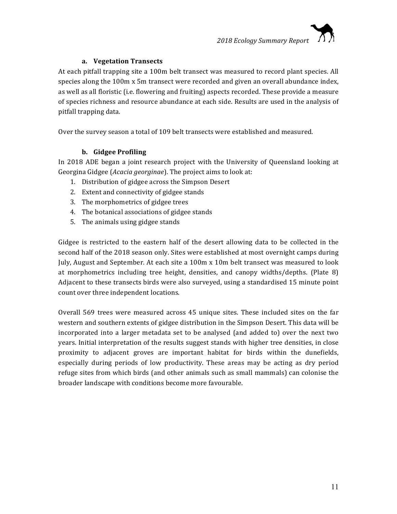# **a. Vegetation Transects**

At each pitfall trapping site a 100m belt transect was measured to record plant species. All species along the 100m x 5m transect were recorded and given an overall abundance index, as well as all floristic (i.e. flowering and fruiting) aspects recorded. These provide a measure of species richness and resource abundance at each side. Results are used in the analysis of pitfall trapping data.

Over the survey season a total of 109 belt transects were established and measured.

# **b. Gidgee Profiling**

In 2018 ADE began a joint research project with the University of Queensland looking at Georgina Gidgee (*Acacia georginae*). The project aims to look at:

- 1. Distribution of gidgee across the Simpson Desert
- 2. Extent and connectivity of gidgee stands
- 3. The morphometrics of gidgee trees
- 4. The botanical associations of gidgee stands
- 5. The animals using gidgee stands

Gidgee is restricted to the eastern half of the desert allowing data to be collected in the second half of the 2018 season only. Sites were established at most overnight camps during July, August and September. At each site a 100m x 10m belt transect was measured to look at morphometrics including tree height, densities, and canopy widths/depths. (Plate  $8$ ) Adjacent to these transects birds were also surveyed, using a standardised 15 minute point count over three independent locations.

Overall 569 trees were measured across 45 unique sites. These included sites on the far western and southern extents of gidgee distribution in the Simpson Desert. This data will be incorporated into a larger metadata set to be analysed (and added to) over the next two years. Initial interpretation of the results suggest stands with higher tree densities, in close proximity to adjacent groves are important habitat for birds within the dunefields, especially during periods of low productivity. These areas may be acting as dry period refuge sites from which birds (and other animals such as small mammals) can colonise the broader landscape with conditions become more favourable.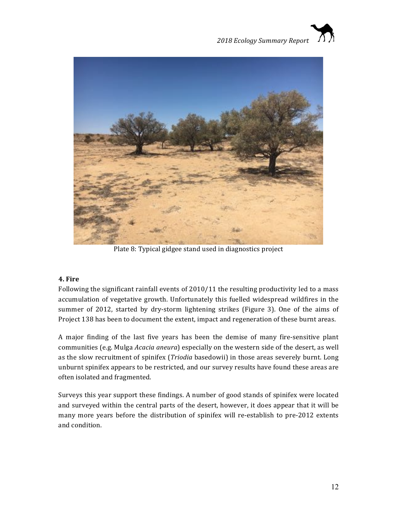



Plate 8: Typical gidgee stand used in diagnostics project

# **4. Fire**

Following the significant rainfall events of 2010/11 the resulting productivity led to a mass accumulation of vegetative growth. Unfortunately this fuelled widespread wildfires in the summer of 2012, started by dry-storm lightening strikes (Figure 3). One of the aims of Project 138 has been to document the extent, impact and regeneration of these burnt areas.

A major finding of the last five years has been the demise of many fire-sensitive plant communities (e.g. Mulga *Acacia aneura*) especially on the western side of the desert, as well as the slow recruitment of spinifex (*Triodia* basedowii) in those areas severely burnt. Long unburnt spinifex appears to be restricted, and our survey results have found these areas are often isolated and fragmented.

Surveys this year support these findings. A number of good stands of spinifex were located and surveyed within the central parts of the desert, however, it does appear that it will be many more years before the distribution of spinifex will re-establish to pre-2012 extents and condition.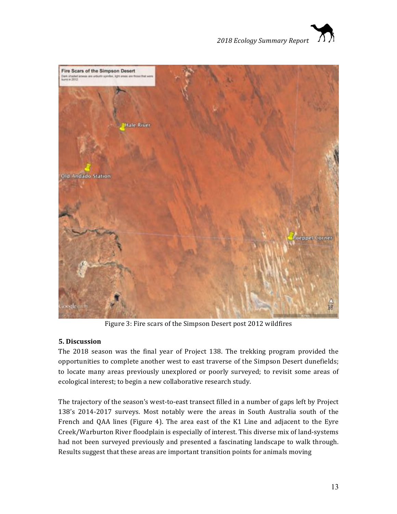



Figure 3: Fire scars of the Simpson Desert post 2012 wildfires

# **5. Discussion**

The 2018 season was the final year of Project 138. The trekking program provided the opportunities to complete another west to east traverse of the Simpson Desert dunefields; to locate many areas previously unexplored or poorly surveyed; to revisit some areas of ecological interest; to begin a new collaborative research study.

The trajectory of the season's west-to-east transect filled in a number of gaps left by Project 138's 2014-2017 surveys. Most notably were the areas in South Australia south of the French and QAA lines (Figure 4). The area east of the K1 Line and adjacent to the Eyre Creek/Warburton River floodplain is especially of interest. This diverse mix of land-systems had not been surveyed previously and presented a fascinating landscape to walk through. Results suggest that these areas are important transition points for animals moving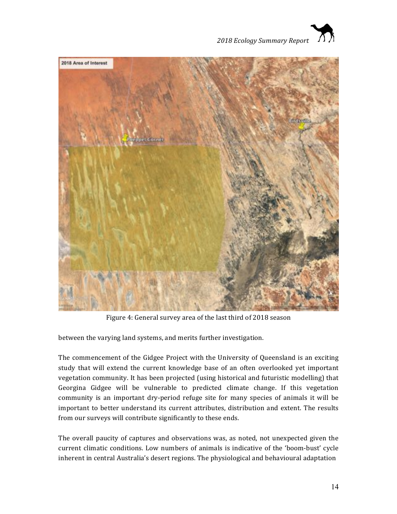



Figure 4: General survey area of the last third of 2018 season

between the varying land systems, and merits further investigation.

The commencement of the Gidgee Project with the University of Queensland is an exciting study that will extend the current knowledge base of an often overlooked yet important vegetation community. It has been projected (using historical and futuristic modelling) that Georgina Gidgee will be vulnerable to predicted climate change. If this vegetation community is an important dry-period refuge site for many species of animals it will be important to better understand its current attributes, distribution and extent. The results from our surveys will contribute significantly to these ends.

The overall paucity of captures and observations was, as noted, not unexpected given the current climatic conditions. Low numbers of animals is indicative of the 'boom-bust' cycle inherent in central Australia's desert regions. The physiological and behavioural adaptation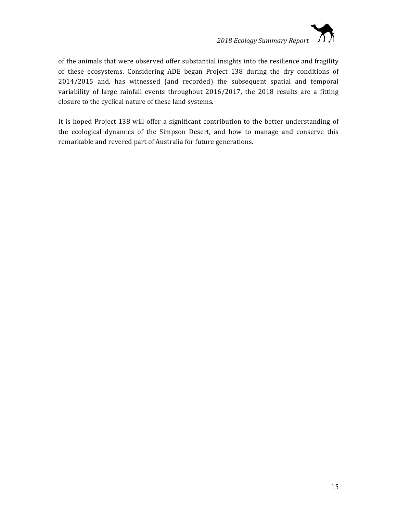

of the animals that were observed offer substantial insights into the resilience and fragility of these ecosystems. Considering ADE began Project 138 during the dry conditions of 2014/2015 and, has witnessed (and recorded) the subsequent spatial and temporal variability of large rainfall events throughout 2016/2017, the 2018 results are a fitting closure to the cyclical nature of these land systems.

It is hoped Project 138 will offer a significant contribution to the better understanding of the ecological dynamics of the Simpson Desert, and how to manage and conserve this remarkable and revered part of Australia for future generations.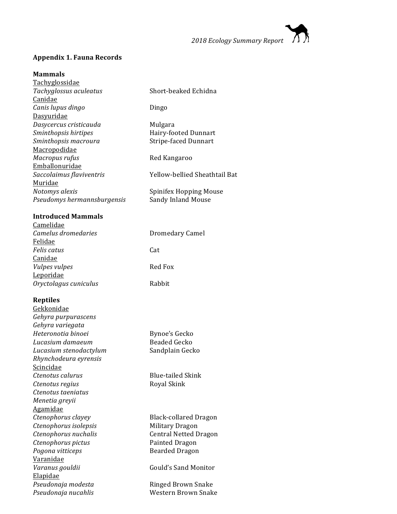

# **Appendix 1. Fauna Records**

#### **Mammals**

| <b>Tachyglossidae</b>       |                               |
|-----------------------------|-------------------------------|
| Tachyglossus aculeatus      | Short-beaked Echidna          |
| Canidae                     |                               |
| Canis lupus dingo           | Dingo                         |
| Dasyuridae                  |                               |
| Dasycercus cristicauda      | Mulgara                       |
| Sminthopsis hirtipes        | Hairy-footed Dunnart          |
| Sminthopsis macroura        | <b>Stripe-faced Dunnart</b>   |
| Macropodidae                |                               |
| Macropus rufus              | Red Kangaroo                  |
| Emballonuridae              |                               |
| Saccolaimus flaviventris    | Yellow-bellied Sheathtail Bat |
| Muridae                     |                               |
| Notomys alexis              | Spinifex Hopping Mouse        |
| Pseudomys hermannsburgensis | Sandy Inland Mouse            |
|                             |                               |

# **Introduced Mammals**

| Camelidae             |                 |
|-----------------------|-----------------|
| Camelus dromedaries   | Dromedary Camel |
| Felidae               |                 |
| Felis catus           | Cat             |
| Canidae               |                 |
| Vulpes vulpes         | Red Fox         |
| Leporidae             |                 |
| Oryctolagus cuniculus | Rabbit          |
|                       |                 |
|                       |                 |

# **Reptiles**

| першез                 |                              |
|------------------------|------------------------------|
| Gekkonidae             |                              |
| Gehyra purpurascens    |                              |
| Gehyra variegata       |                              |
| Heteronotia binoei     | Bynoe's Gecko                |
| Lucasium damaeum       | Beaded Gecko                 |
| Lucasium stenodactylum | Sandplain Gecko              |
| Rhynchodeura eyrensis  |                              |
| <u>Scincidae</u>       |                              |
| Ctenotus calurus       | Blue-tailed Skink            |
| Ctenotus regius        | Royal Skink                  |
| Ctenotus taeniatus     |                              |
| Menetia greyii         |                              |
| <u>Agamidae</u>        |                              |
| Ctenophorus clayey     | Black-collared Dragon        |
| Ctenophorus isolepsis  | Military Dragon              |
| Ctenophorus nuchalis   | <b>Central Netted Dragon</b> |
| Ctenophorus pictus     | Painted Dragon               |
| Pogona vitticeps       | <b>Bearded Dragon</b>        |
| Varanidae              |                              |
| Varanus gouldii        | Gould's Sand Monitor         |
| <b>Elapidae</b>        |                              |
| Pseudonaja modesta     | Ringed Brown Snake           |
| Pseudonaja nucahlis    | Western Brown Snake          |
|                        |                              |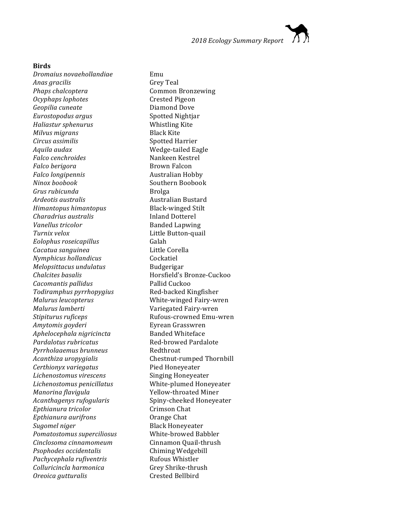*2018 Ecology Summary Report*

#### **Birds**

*Dromaius novaehollandiae* Emu *Anas gracilis* Grey Teal *Phaps chalcoptera* Common Bronzewing *Ocyphaps lophotes* Crested Pigeon *Geopilia cuneate* Diamond Dove *Eurostopodus argus* Spotted Nightjar *Haliastur sphenurus* Whistling Kite *Milvus migrans* extending Black Kite *Circus assimilis* Spotted Harrier Aquila audax **Wedge-tailed Eagle Falco** cenchroides **Nankeen** Kestrel *Falco berigora* Brown Falcon *Falco longipennis* Australian Hobby *Ninox boobook* Southern Boobook *Grus rubicunda* Brolga *Ardeotis australis* **Australian Bustard** *Himantopus himantopus* Black-winged Stilt *Charadrius australis* **Inland Dotterel** *Vanellus tricolor* Banded Lapwing **Turnix** velox **Little Button-quail** *Eolophus roseicapillus* Galah *Cacatua sanguinea* Little Corella *Nymphicus hollandicus* Cockatiel *Melopsittacus undulatus* Budgerigar *Chalcites basalis* Horsfield's Bronze-Cuckoo **Cacomantis pallidus** Pallid Cuckoo *Todiramphus pyrrhopygius* Red-backed Kingfisher *Malurus leucopterus* extending the White-winged Fairy-wren *Malurus lamberti* external variegated Fairy-wren *Stipiturus ruficeps* extends the Rufous-crowned Emu-wren *Amytomis goyderi* Eyrean Grasswren *Aphelocephala nigricincta* Banded Whiteface **Pardalotus rubricatus** Red-browed Pardalote *Pyrrholaaemus brunneus* Redthroat *Acanthiza uropygialis* Chestnut-rumped Thornbill *Certhionyx variegatus* Pied Honeyeater *Lichenostomus virescens* Singing Honeyeater *Lichenostomus penicillatus* White-plumed Honeyeater *Manorina flavigula* Yellow-throated Miner Acanthagenys rufogularis Spiny-cheeked Honeyeater *Epthianura tricolor* Crimson Chat *Epthianura aurifrons* **Commandata Chat Sugomel niger** Black Honeyeater *Pomatostomus superciliosus* White-browed Babbler *Cinclosoma cinnamomeum* Cinnamon Quail-thrush *Psophodes occidentalis* Chiming Wedgebill *Pachycephala rufiventris* Rufous Whistler *Colluricincla harmonica* Grey Shrike-thrush *Oreoica gutturalis* Crested Bellbird